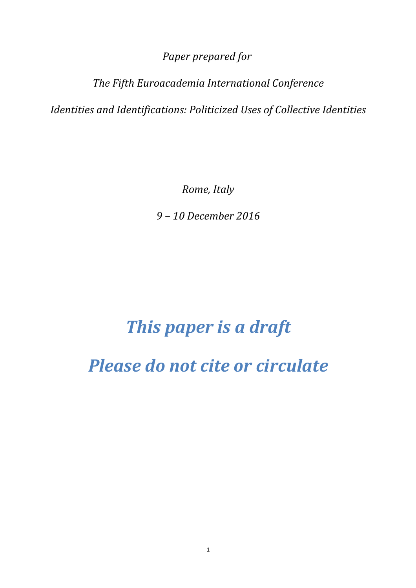*Paper prepared for* 

*The Fifth Euroacademia International Conference*

*Identities and Identifications: Politicized Uses of Collective Identities*

*Rome, Italy*

*9 – 10 December 2016*

# *This paper is a draft*

*Please do not cite or circulate*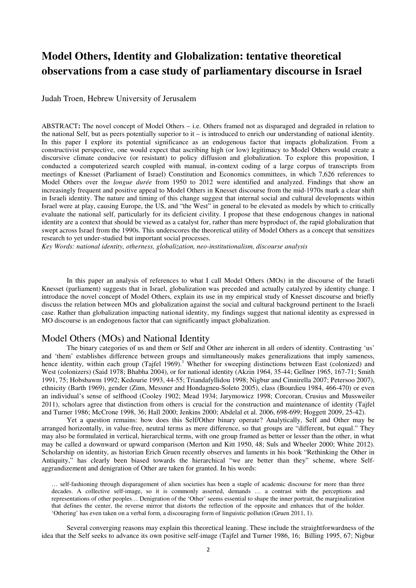# **Model Others, Identity and Globalization: tentative theoretical observations from a case study of parliamentary discourse in Israel**

Judah Troen, Hebrew University of Jerusalem

ABSTRACT**:** The novel concept of Model Others – i.e. Others framed not as disparaged and degraded in relation to the national Self, but as peers potentially superior to it – is introduced to enrich our understanding of national identity. In this paper I explore its potential significance as an endogenous factor that impacts globalization. From a constructivist perspective, one would expect that ascribing high (or low) legitimacy to Model Others would create a discursive climate conducive (or resistant) to policy diffusion and globalization. To explore this proposition, I conducted a computerized search coupled with manual, in-context coding of a large corpus of transcripts from meetings of Knesset (Parliament of Israel) Constitution and Economics committees, in which 7,626 references to Model Others over the *longue durée* from 1950 to 2012 were identified and analyzed. Findings that show an increasingly frequent and positive appeal to Model Others in Knesset discourse from the mid-1970s mark a clear shift in Israeli identity. The nature and timing of this change suggest that internal social and cultural developments within Israel were at play, causing Europe, the US, and "the West" in general to be elevated as models by which to critically evaluate the national self, particularly for its deficient civility. I propose that these endogenous changes in national identity are a context that should be viewed as a catalyst for, rather than mere byproduct of, the rapid globalization that swept across Israel from the 1990s. This underscores the theoretical utility of Model Others as a concept that sensitizes research to yet under-studied but important social processes.

*Key Words: national identity, otherness, globalization, neo-institutionalism, discourse analysis* 

In this paper an analysis of references to what I call Model Others (MOs) in the discourse of the Israeli Knesset (parliament) suggests that in Israel, globalization was preceded and actually catalyzed by identity change. I introduce the novel concept of Model Others, explain its use in my empirical study of Knesset discourse and briefly discuss the relation between MOs and globalization against the social and cultural background pertinent to the Israeli case. Rather than globalization impacting national identity, my findings suggest that national identity as expressed in MO discourse is an endogenous factor that can significantly impact globalization.

# Model Others (MOs) and National Identity

The binary categories of us and them or Self and Other are inherent in all orders of identity. Contrasting 'us' and 'them' establishes difference between groups and simultaneously makes generalizations that imply sameness, hence identity, within each group (Tajfel 1969).<sup>1</sup> Whether for sweeping distinctions between East (colonized) and West (colonizers) (Said 1978; Bhabha 2004), or for national identity (Akzin 1964, 35-44; Gellner 1965, 167-71; Smith 1991, 75; Hobsbawm 1992; Kedourie 1993, 44-55; Triandafyllidou 1998; Nigbur and Cinnirella 2007; Petersoo 2007), ethnicity (Barth 1969), gender (Zinn, Messner and Hondagneu-Soleto 2005), class (Bourdieu 1984, 466-470) or even an individual's sense of selfhood (Cooley 1902; Mead 1934; Jarymowicz 1998; Corcoran, Crusius and Mussweiler 2011), scholars agree that distinction from others is crucial for the construction and maintenance of identity (Tajfel and Turner 1986; McCrone 1998, 36; Hall 2000; Jenkins 2000; Abdelal et al. 2006, 698-699; Hoggett 2009, 25-42).

Yet a question remains: how does this Self/Other binary operate? Analytically, Self and Other may be arranged horizontally, in value-free, neutral terms as mere difference, so that groups are "different, but equal." They may also be formulated in vertical, hierarchical terms, with one group framed as better or lesser than the other, in what may be called a downward or upward comparison (Merton and Kitt 1950, 48; Suls and Wheeler 2000; White 2012). Scholarship on identity, as historian Erich Gruen recently observes and laments in his book "Rethinking the Other in Antiquity," has clearly been biased towards the hierarchical "we are better than they" scheme, where Selfaggrandizement and denigration of Other are taken for granted. In his words:

… self-fashioning through disparagement of alien societies has been a staple of academic discourse for more than three decades. A collective self-image, so it is commonly asserted, demands … a contrast with the perceptions and representations of other peoples… Denigration of the 'Other' seems essential to shape the inner portrait, the marginalization that defines the center, the reverse mirror that distorts the reflection of the opposite and enhances that of the holder. 'Othering' has even taken on a verbal form, a discouraging form of linguistic pollution (Gruen 2011, 1).

Several converging reasons may explain this theoretical leaning. These include the straightforwardness of the idea that the Self seeks to advance its own positive self-image (Tajfel and Turner 1986, 16; Billing 1995, 67; Nigbur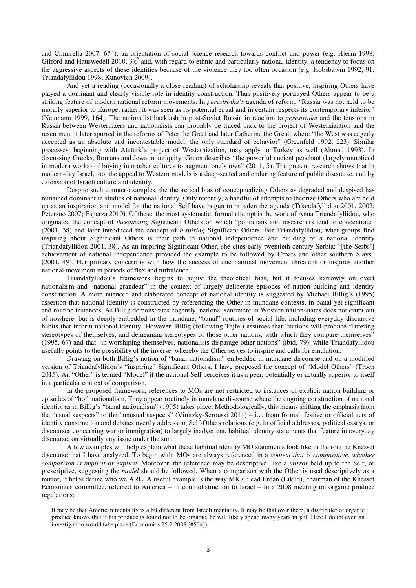and Cinnirella 2007, 674); an orientation of social science research towards conflict and power (e.g. Hjerm 1998; Gifford and Hauswedell 2010, 3);<sup>2</sup> and, with regard to ethnic and particularly national identity, a tendency to focus on the aggressive aspects of these identities because of the violence they too often occasion (e.g. Hobsbawm 1992, 91; Triandafyllidou 1998; Kunovich 2009).

And yet a reading (occasionally a close reading) of scholarship reveals that positive, inspiring Others have played a dominant and clearly visible role in identity construction. Thus positively portrayed Others appear to be a striking feature of modern national reform movements. In *perestroika's* agenda of reform, "Russia was not held to be morally superior to Europe; rather, it was seen as its potential equal and in certain respects its contemporary inferior" (Neumann 1999, 164). The nationalist backlash in post-Soviet Russia in reaction to *perestroika* and the tensions in Russia between Westernizers and nationalists can probably be traced back to the project of Westernization and the resentment it later spurred in the reforms of Peter the Great and later Catherine the Great, where "the West was eagerly accepted as an absolute and incontestable model, the only standard of behavior" (Greenfeld 1992, 223). Similar processes, beginning with Atatürk's project of Westernization, may apply to Turkey as well (Ahmad 1993). In discussing Greeks, Romans and Jews in antiquity, Gruen describes "the powerful ancient penchant (largely unnoticed in modern works) of buying into other cultures to augment one's own" (2011, 5). The present research shows that in modern-day Israel, too, the appeal to Western models is a deep-seated and enduring feature of public discourse, and by extension of Israeli culture and identity.

Despite such counter-examples, the theoretical bias of conceptualizing Others as degraded and despised has remained dominant in studies of national identity. Only recently, a handful of attempts to theorize Others who are held up as an inspiration and model for the national Self have begun to broaden the agenda (Triandafyllidou 2001, 2002; Petersoo 2007; Esparza 2010). Of these, the most systematic, formal attempt is the work of Anna Triandafyllidou, who originated the concept of *threatening* Significant Others on which "politicians and researchers tend to concentrate" (2001, 38) and later introduced the concept of *inspiring* Significant Others. For Triandafyllidou, what groups find inspiring about Significant Others is their path to national independence and building of a national identity (Triandafyllidou 2001, 38). As an inspiring Significant Other, she cites early twentieth-century Serbia: "[the Serbs'] achievement of national independence provided the example to be followed by Croats and other southern Slavs" (2001, 49). Her primary concern is with how the success of one national movement threatens or inspires another national movement in periods of flux and turbulence.

Triandafyllidou's framework begins to adjust the theoretical bias, but it focuses narrowly on overt nationalism and "national grandeur" in the context of largely deliberate episodes of nation building and identity construction. A more nuanced and elaborated concept of national identity is suggested by Michael Billig's (1995) assertion that national identity is constructed by referencing the Other in mundane contexts, in banal yet significant and routine instances. As Billig demonstrates cogently, national sentiment in Western nation-states does not erupt out of nowhere, but is deeply embedded in the mundane, "banal" routines of social life, including everyday discursive habits that inform national identity. However, Billig (following Tajfel) assumes that "nations will produce flattering stereotypes of themselves, and demeaning stereotypes of those other nations, with which they compare themselves" (1995, 67) and that "in worshiping themselves, nationalists disparage other nations" (ibid, 79), while Triandafyllidou usefully points to the possibility of the inverse, whereby the Other serves to inspire and calls for emulation.

Drawing on both Billig's notion of "banal nationalism" embedded in mundane discourse and on a modified version of Triandafyllidou's "inspiring" Significant Others, I have proposed the concept of "Model Others" (Troen 2015). An "Other" is termed "Model" if the national Self perceives it as a peer, potentially or actually superior to itself in a particular context of comparison.

In the proposed framework, references to MOs are not restricted to instances of explicit nation building or episodes of "hot" nationalism. They appear routinely in mundane discourse where the ongoing construction of national identity as in Billig's "banal nationalism" (1995) takes place. Methodologically, this means shifting the emphasis from the "usual suspects" to the "unusual suspects" (Vinitzky-Seroussi 2011) – i.e. from formal, festive or official acts of identity construction and debates overtly addressing Self-Others relations (e.g. in official addresses, political essays, or discourses concerning war or immigration) to largely inadvertent, habitual identity statements that feature in everyday discourse, on virtually any issue under the sun.

A few examples will help explain what these habitual identity MO statements look like in the routine Knesset discourse that I have analyzed. To begin with, MOs are always referenced in a *context that is comparative, whether comparison is implicit or explicit*. Moreover, the reference may be descriptive, like a *mirror* held up to the Self, or prescriptive, suggesting the *model* should be followed. When a comparison with the Other is used descriptively as a mirror, it helps define who we ARE. A useful example is the way MK Gilead Erdan (Likud), chairman of the Knesset Economics committee, referred to America – in contradistinction to Israel – in a 2008 meeting on organic produce regulations:

It may be that American mentality is a bit different from Israeli mentality. It may be that over there, a distributer of organic produce knows that if his produce is found not to be organic, he will likely spend many years in jail. Here I doubt even an investigation would take place (Economics 25.2.2008 [#504])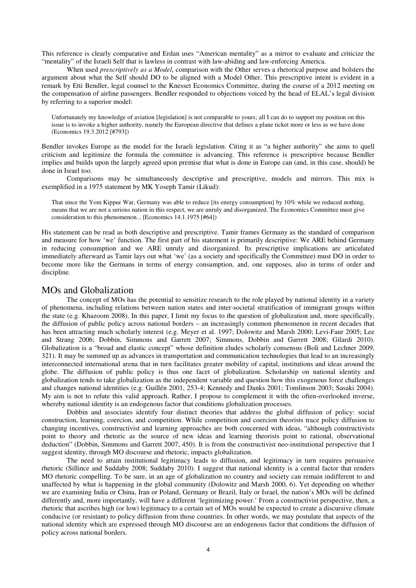This reference is clearly comparative and Erdan uses "American mentality" as a mirror to evaluate and criticize the "mentality" of the Israeli Self that is lawless in contrast with law-abiding and law-enforcing America.

When used *prescriptively as a Model*, comparison with the Other serves a rhetorical purpose and bolsters the argument about what the Self should DO to be aligned with a Model Other. This prescriptive intent is evident in a remark by Etti Bendler, legal counsel to the Knesset Economics Committee, during the course of a 2012 meeting on the compensation of airline passengers. Bendler responded to objections voiced by the head of ELAL's legal division by referring to a superior model:

Unfortunately my knowledge of aviation [legislation] is not comparable to yours; all I can do to support my position on this issue is to invoke a higher authority, namely the European directive that defines a plane ticket more or less as we have done (Economics 19.3.2012 [#793])

Bendler invokes Europe as the model for the Israeli legislation. Citing it as "a higher authority" she aims to quell criticism and legitimize the formula the committee is advancing. This reference is prescriptive because Bendler implies and builds upon the largely agreed upon premise that what is done in Europe can (and, in this case, should) be done in Israel too.

Comparisons may be simultaneously descriptive and prescriptive, models and mirrors. This mix is exemplified in a 1975 statement by MK Yoseph Tamir (Likud):

That since the Yom Kippur War, Germany was able to reduce [its energy consumption] by 10% while we reduced nothing, means that we are not a serious nation in this respect, we are unruly and disorganized. The Economics Committee must give consideration to this phenomenon... (Economics 14.1.1975 [#64])

His statement can be read as both descriptive and prescriptive. Tamir frames Germany as the standard of comparison and measure for how 'we' function. The first part of his statement is primarily descriptive: We ARE behind Germany in reducing consumption and we ARE unruly and disorganized. Its prescriptive implications are articulated immediately afterward as Tamir lays out what 'we' (as a society and specifically the Committee) must DO in order to become more like the Germans in terms of energy consumption, and, one supposes, also in terms of order and discipline.

# MOs and Globalization

The concept of MOs has the potential to sensitize research to the role played by national identity in a variety of phenomena, including relations between nation states and inter-societal stratification of immigrant groups within the state (e.g. Khazoom 2008). In this paper, I limit my focus to the question of globalization and, more specifically, the diffusion of public policy across national borders – an increasingly common phenomenon in recent decades that has been attracting much scholarly interest (e.g. Meyer et al. 1997; Dolowitz and Marsh 2000; Levi-Faur 2005; Lee and Strang 2006; Dobbin, Simmons and Garrett 2007; Simmons, Dobbin and Garrett 2008; Gilardi 2010). Globalization is a "broad and elastic concept" whose definition eludes scholarly consensus (Boli and Lechner 2009, 321). It may be summed up as advances in transportation and communication technologies that lead to an increasingly interconnected international arena that in turn facilitates greater mobility of capital, institutions and ideas around the globe. The diffusion of public policy is thus one facet of globalization. Scholarship on national identity and globalization tends to take globalization as the independent variable and question how this exogenous force challenges and changes national identities (e.g. Guillén 2001, 253-4; Kennedy and Danks 2001; Tomlinson 2003; Sasaki 2004). My aim is not to refute this valid approach. Rather, I propose to complement it with the often-overlooked inverse, whereby national identity is an endogenous factor that conditions globalization processes.

Dobbin and associates identify four distinct theories that address the global diffusion of policy: social construction, learning, coercion, and competition. While competition and coercion theorists trace policy diffusion to changing incentives, constructivist and learning approaches are both concerned with ideas, "although constructivists point to theory and rhetoric as the source of new ideas and learning theorists point to rational, observational deduction" (Dobbin, Simmons and Garrett 2007, 450). It is from the constructivist neo-institutional perspective that I suggest identity, through MO discourse and rhetoric, impacts globalization.

The need to attain institutional legitimacy leads to diffusion, and legitimacy in turn requires persuasive rhetoric (Sillince and Suddaby 2008; Suddaby 2010). I suggest that national identity is a central factor that renders MO rhetoric compelling. To be sure, in an age of globalization no country and society can remain indifferent to and unaffected by what is happening in the global community (Dolowitz and Marsh 2000, 6). Yet depending on whether we are examining India or China, Iran or Poland, Germany or Brazil, Italy or Israel, the nation's MOs will be defined differently and, more importantly, will have a different 'legitimizing power.' From a constructivist perspective, then, a rhetoric that ascribes high (or low) legitimacy to a certain set of MOs would be expected to create a discursive climate conducive (or resistant) to policy diffusion from those countries. In other words, we may postulate that aspects of the national identity which are expressed through MO discourse are an endogenous factor that conditions the diffusion of policy across national borders.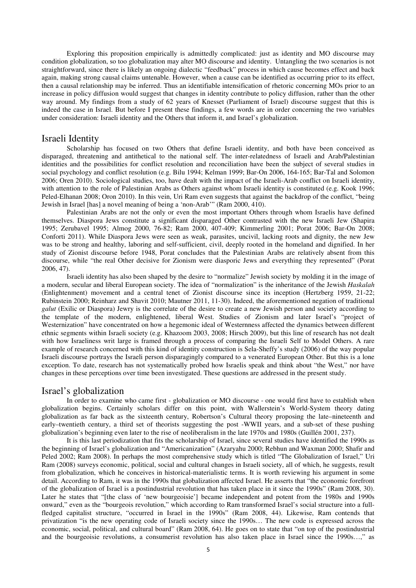Exploring this proposition empirically is admittedly complicated: just as identity and MO discourse may condition globalization, so too globalization may alter MO discourse and identity. Untangling the two scenarios is not straightforward, since there is likely an ongoing dialectic "feedback" process in which cause becomes effect and back again, making strong causal claims untenable. However, when a cause can be identified as occurring prior to its effect, then a causal relationship may be inferred. Thus an identifiable intensification of rhetoric concerning MOs prior to an increase in policy diffusion would suggest that changes in identity contribute to policy diffusion, rather than the other way around. My findings from a study of 62 years of Knesset (Parliament of Israel) discourse suggest that this is indeed the case in Israel. But before I present these findings, a few words are in order concerning the two variables under consideration: Israeli identity and the Others that inform it, and Israel's globalization.

#### Israeli Identity

Scholarship has focused on two Others that define Israeli identity, and both have been conceived as disparaged, threatening and antithetical to the national self. The inter-relatedness of Israeli and Arab/Palestinian identities and the possibilities for conflict resolution and reconciliation have been the subject of several studies in social psychology and conflict resolution (e.g. Bilu 1994; Kelman 1999; Bar-On 2006, 164-165; Bar-Tal and Solomon 2006; Oren 2010). Sociological studies, too, have dealt with the impact of the Israeli-Arab conflict on Israeli identity, with attention to the role of Palestinian Arabs as Others against whom Israeli identity is constituted (e.g. Kook 1996; Peled-Elhanan 2008; Oron 2010). In this vein, Uri Ram even suggests that against the backdrop of the conflict, "being Jewish in Israel [has] a novel meaning of being a 'non-Arab'" (Ram 2000, 410).

Palestinian Arabs are not the only or even the most important Others through whom Israelis have defined themselves. Diaspora Jews constitute a significant disparaged Other contrasted with the new Israeli Jew (Shapira 1995; Zerubavel 1995; Almog 2000, 76-82; Ram 2000, 407-409; Kimmerling 2001; Porat 2006; Bar-On 2008; Conforti 2011). While Diaspora Jews were seen as weak, parasites, uncivil, lacking roots and dignity, the new Jew was to be strong and healthy, laboring and self-sufficient, civil, deeply rooted in the homeland and dignified. In her study of Zionist discourse before 1948, Porat concludes that the Palestinian Arabs are relatively absent from this discourse, while "the real Other decisive for Zionism were diasporic Jews and everything they represented" (Porat 2006, 47).

Israeli identity has also been shaped by the desire to "normalize" Jewish society by molding it in the image of a modern, secular and liberal European society. The idea of "normalization" is the inheritance of the Jewish *Haskalah* (Enlightenment) movement and a central tenet of Zionist discourse since its inception (Hertzberg 1959, 21-22; Rubinstein 2000; Reinharz and Shavit 2010; Mautner 2011, 11-30). Indeed, the aforementioned negation of traditional *galut* (Exilic or Diaspora) Jewry is the correlate of the desire to create a new Jewish person and society according to the template of the modern, enlightened, liberal West. Studies of Zionism and later Israel's "project of Westernization" have concentrated on how a hegemonic ideal of Westernness affected the dynamics between different ethnic segments within Israeli society (e.g. Khazoom 2003, 2008; Hirsch 2009), but this line of research has not dealt with how Israeliness writ large is framed through a process of comparing the Israeli Self to Model Others. A rare example of research concerned with this kind of identity construction is Sela-Sheffy's study (2006) of the way popular Israeli discourse portrays the Israeli person disparagingly compared to a venerated European Other. But this is a lone exception. To date, research has not systematically probed how Israelis speak and think about "the West," nor have changes in these perceptions over time been investigated. These questions are addressed in the present study.

#### Israel's globalization

In order to examine who came first - globalization or MO discourse - one would first have to establish when globalization begins. Certainly scholars differ on this point, with Wallerstein's World-System theory dating globalization as far back as the sixteenth century, Robertson's Cultural theory proposing the late–nineteenth and early–twentieth century, a third set of theorists suggesting the post -WWII years, and a sub-set of these pushing globalization's beginning even later to the rise of neoliberalism in the late 1970s and 1980s (Guillén 2001, 237).

It is this last periodization that fits the scholarship of Israel, since several studies have identified the 1990s as the beginning of Israel's globalization and "Americanization" (Azaryahu 2000; Rebhun and Waxman 2000; Shafir and Peled 2002; Ram 2008). In perhaps the most comprehensive study which is titled "The Globalization of Israel," Uri Ram (2008) surveys economic, political, social and cultural changes in Israeli society, all of which, he suggests, result from globalization, which he conceives in historical-materialistic terms. It is worth reviewing his argument in some detail. According to Ram, it was in the 1990s that globalization affected Israel. He asserts that "the economic forefront of the globalization of Israel is a postindustrial revolution that has taken place in it since the 1990s" (Ram 2008, 30). Later he states that "[the class of 'new bourgeoisie'] became independent and potent from the 1980s and 1990s onward," even as the "bourgeois revolution," which according to Ram transformed Israel's social structure into a fullfledged capitalist structure, "occurred in Israel in the 1990s" (Ram 2008, 44). Likewise, Ram contends that privatization "is the new operating code of Israeli society since the 1990s… The new code is expressed across the economic, social, political, and cultural board" (Ram 2008, 64). He goes on to state that "on top of the postindustrial and the bourgeoisie revolutions, a consumerist revolution has also taken place in Israel since the 1990s…," as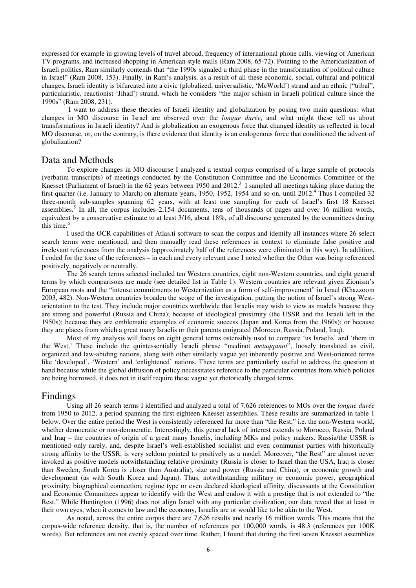expressed for example in growing levels of travel abroad, frequency of international phone calls, viewing of American TV programs, and increased shopping in American style malls (Ram 2008, 65-72). Pointing to the Americanization of Israeli politics, Ram similarly contends that "the 1990s signaled a third phase in the transformation of political culture in Israel" (Ram 2008, 153). Finally, in Ram's analysis, as a result of all these economic, social, cultural and political changes, Israeli identity is bifurcated into a civic (globalized, universalistic, 'McWorld') strand and an ethnic ("tribal", particularistic, reactionist 'Jihad') strand, which he considers "the major schism in Israeli political culture since the 1990s" (Ram 2008, 231).

 I want to address these theories of Israeli identity and globalization by posing two main questions: what changes in MO discourse in Israel are observed over the *longue durée*, and what might these tell us about transformations in Israeli identity? And is globalization an exogenous force that changed identity as reflected in local MO discourse, or, on the contrary, is there evidence that identity is an endogenous force that conditioned the advent of globalization?

#### Data and Methods

To explore changes in MO discourse I analyzed a textual corpus comprised of a large sample of protocols (verbatim transcripts) of meetings conducted by the Constitution Committee and the Economics Committee of the Knesset (Parliament of Israel) in the 62 years between 1950 and 2012.<sup>3</sup> I sampled all meetings taking place during the first quarter (i.e. January to March) on alternate years, 1950, 1952, 1954 and so on, until 2012.<sup>4</sup> Thus I compiled 32 three-month sub-samples spanning 62 years, with at least one sampling for each of Israel's first 18 Knesset assemblies.<sup>5</sup> In all, the corpus includes 2,154 documents, tens of thousands of pages and over 16 million words, equivalent by a conservative estimate to at least 3/16, about 18%, of all discourse generated by the committees during this time.<sup>6</sup>

I used the OCR capabilities of Atlas.ti software to scan the corpus and identify all instances where 26 select search terms were mentioned, and then manually read these references in context to eliminate false positive and irrelevant references from the analysis (approximately half of the references were eliminated in this way). In addition, I coded for the tone of the references – in each and every relevant case I noted whether the Other was being referenced positively, negatively or neutrally.

The 26 search terms selected included ten Western countries, eight non-Western countries, and eight general terms by which comparisons are made (see detailed list in Table 1). Western countries are relevant given Zionism's European roots and the "intense commitments to Westernization as a form of self-improvement" in Israel (Khazzoom 2003, 482). Non-Western countries broaden the scope of the investigation, putting the notion of Israel's strong Westorientation to the test. They include major countries worldwide that Israelis may wish to view as models because they are strong and powerful (Russia and China); because of ideological proximity (the USSR and the Israeli left in the 1950s); because they are emblematic examples of economic success (Japan and Korea from the 1960s); or because they are places from which a great many Israelis or their parents emigrated (Morocco, Russia, Poland, Iraq).

Most of my analysis will focus on eight general terms ostensibly used to compare 'us Israelis' and 'them in the West,' These include the quintessentially Israeli phrase "medinot *metuqqanot*", loosely translated as civil, organized and law-abiding nations, along with other similarly vague yet inherently positive and West-oriented terms like 'developed', 'Western' and 'enlightened' nations. These terms are particularly useful to address the question at hand because while the global diffusion of policy necessitates reference to the particular countries from which policies are being borrowed, it does not in itself require these vague yet rhetorically charged terms.

# Findings

Using all 26 search terms I identified and analyzed a total of 7,626 references to MOs over the *longue durée* from 1950 to 2012, a period spanning the first eighteen Knesset assemblies. These results are summarized in table 1 below. Over the entire period the West is consistently referenced far more than "the Rest," i.e. the non-Western world, whether democratic or non-democratic. Interestingly, this general lack of interest extends to Morocco, Russia, Poland and Iraq – the countries of origin of a great many Israelis, including MKs and policy makers. Russia/the USSR is mentioned only rarely, and, despite Israel's well-established socialist and even communist parties with historically strong affinity to the USSR, is very seldom pointed to positively as a model. Moreover, "the Rest" are almost never invoked as positive models notwithstanding relative proximity (Russia is closer to Israel than the USA, Iraq is closer than Sweden, South Korea is closer than Australia), size and power (Russia and China), or economic growth and development (as with South Korea and Japan). Thus, notwithstanding military or economic power, geographical proximity, biographical connection, regime type or even declared ideological affinity, discussants at the Constitution and Economic Committees appear to identify with the West and endow it with a prestige that is not extended to "the Rest." While Huntington (1996) does not align Israel with any particular civilization, our data reveal that at least in their own eyes, when it comes to law and the economy, Israelis are or would like to be akin to the West.

As noted, across the entire corpus there are 7,626 results and nearly 16 million words. This means that the corpus-wide reference density, that is, the number of references per 100,000 words, is 48.3 (references per 100K words). But references are not evenly spaced over time. Rather, I found that during the first seven Knesset assemblies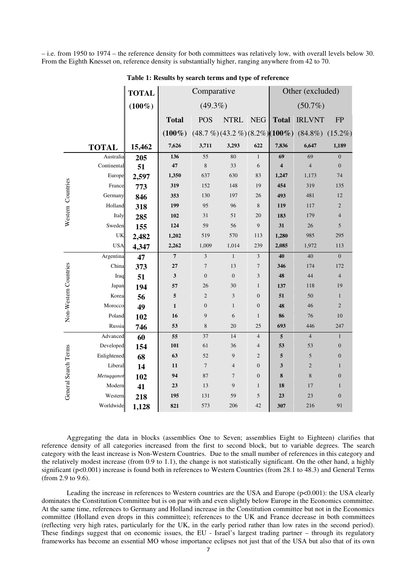– i.e. from 1950 to 1974 – the reference density for both committees was relatively low, with overall levels below 30. From the Eighth Knesset on, reference density is substantially higher, ranging anywhere from 42 to 70.

| $(49.3\%)$<br>$(50.7\%)$<br>$(100\%)$<br><b>IRLVNT</b><br><b>POS</b><br><b>NTRL</b><br><b>Total</b><br><b>NEG</b><br><b>Total</b><br>$(48.7\%)$ $(43.2\%)$ $(8.2\%)$ $(100\%)$<br>$(84.8\%)$<br>$(100\%)$<br>3,293<br>622<br>7,836<br>7,626<br>3,711<br>6,647<br>15,462<br><b>TOTAL</b><br>80<br>Australia<br>55<br>$\mathbf{1}$<br>69<br>136<br>69<br>205<br>8<br>Continental<br>47<br>33<br>6<br>4<br>4<br>51<br>Europe<br>1,350<br>630<br>83<br>1,247<br>1,173<br>637<br>2,597<br><b>Western Countries</b><br>152<br>148<br>19<br>454<br>319<br>France<br>319<br>773<br>197<br>481<br>Germany<br>353<br>130<br>26<br>493<br>846<br>Holland<br>199<br>95<br>96<br>8<br>119<br>117<br>318<br>102<br>31<br>51<br>20<br>183<br>179<br>Italy<br>285<br>124<br>59<br>56<br>9<br>31<br>Sweden<br>26<br>155<br>570<br>985<br>UK<br>1,202<br>519<br>113<br>1,280<br>2,482<br><b>USA</b><br>239<br>1,972<br>2,262<br>1,009<br>1,014<br>2,085<br>4,347<br>Argentina<br>$7\phantom{.0}$<br>3<br>$\mathbf{1}$<br>3<br>40<br>40<br>47<br>Non-Western Countries<br>27<br>$\overline{7}$<br>13<br>China<br>7<br>346<br>174<br>373<br>3<br>$\mathbf{0}$<br>3<br>48<br>44<br>51<br>$\mathbf{0}$<br>Iraq<br>Japan<br>57<br>26<br>30<br>$\mathbf{1}$<br>137<br>118<br>194<br>3<br>Korea<br>5<br>$\overline{2}$<br>$\boldsymbol{0}$<br>51<br>50<br>56<br>Morocco<br>$\boldsymbol{0}$<br>$\mathbf{1}$<br>$\boldsymbol{0}$<br>48<br>46<br>49<br>$\mathbf{1}$<br>Poland<br>9<br>6<br>$\mathbf{1}$<br>76<br>16<br>86<br>102<br>53<br>$\,$ 8 $\,$<br>693<br>Russia<br>20<br>25<br>446<br>746<br>Advanced<br>55<br>37<br>5<br>14<br>$\overline{4}$<br>$\overline{4}$<br>60<br>Developed<br>61<br>101<br>36<br>$\overline{4}$<br>53<br>53<br>154<br>General Search Terms<br>Enlightened<br>63<br>52<br>9<br>$\overline{2}$<br>5<br>5<br>68<br>Liberal<br>$\overline{7}$<br>$\mathbf{0}$<br>3<br>$\overline{2}$<br>11<br>$\overline{4}$<br>14<br>Metuqqanot<br>87<br>$\overline{7}$<br>$\mathbf{0}$<br>94<br>8<br>8<br>102 |  | <b>TOTAL</b> | Comparative |    |   |              | Other (excluded) |    |                |
|--------------------------------------------------------------------------------------------------------------------------------------------------------------------------------------------------------------------------------------------------------------------------------------------------------------------------------------------------------------------------------------------------------------------------------------------------------------------------------------------------------------------------------------------------------------------------------------------------------------------------------------------------------------------------------------------------------------------------------------------------------------------------------------------------------------------------------------------------------------------------------------------------------------------------------------------------------------------------------------------------------------------------------------------------------------------------------------------------------------------------------------------------------------------------------------------------------------------------------------------------------------------------------------------------------------------------------------------------------------------------------------------------------------------------------------------------------------------------------------------------------------------------------------------------------------------------------------------------------------------------------------------------------------------------------------------------------------------------------------------------------------------------------------------------------------------------------------------------------------------------------------------------------------------------------------------------------------------------------------------------|--|--------------|-------------|----|---|--------------|------------------|----|----------------|
|                                                                                                                                                                                                                                                                                                                                                                                                                                                                                                                                                                                                                                                                                                                                                                                                                                                                                                                                                                                                                                                                                                                                                                                                                                                                                                                                                                                                                                                                                                                                                                                                                                                                                                                                                                                                                                                                                                                                                                                                  |  |              |             |    |   |              |                  |    |                |
|                                                                                                                                                                                                                                                                                                                                                                                                                                                                                                                                                                                                                                                                                                                                                                                                                                                                                                                                                                                                                                                                                                                                                                                                                                                                                                                                                                                                                                                                                                                                                                                                                                                                                                                                                                                                                                                                                                                                                                                                  |  |              |             |    |   |              |                  |    | <b>FP</b>      |
|                                                                                                                                                                                                                                                                                                                                                                                                                                                                                                                                                                                                                                                                                                                                                                                                                                                                                                                                                                                                                                                                                                                                                                                                                                                                                                                                                                                                                                                                                                                                                                                                                                                                                                                                                                                                                                                                                                                                                                                                  |  |              |             |    |   |              |                  |    | $(15.2\%)$     |
|                                                                                                                                                                                                                                                                                                                                                                                                                                                                                                                                                                                                                                                                                                                                                                                                                                                                                                                                                                                                                                                                                                                                                                                                                                                                                                                                                                                                                                                                                                                                                                                                                                                                                                                                                                                                                                                                                                                                                                                                  |  |              |             |    |   |              |                  |    | 1,189          |
|                                                                                                                                                                                                                                                                                                                                                                                                                                                                                                                                                                                                                                                                                                                                                                                                                                                                                                                                                                                                                                                                                                                                                                                                                                                                                                                                                                                                                                                                                                                                                                                                                                                                                                                                                                                                                                                                                                                                                                                                  |  |              |             |    |   |              |                  |    | $\mathbf{0}$   |
|                                                                                                                                                                                                                                                                                                                                                                                                                                                                                                                                                                                                                                                                                                                                                                                                                                                                                                                                                                                                                                                                                                                                                                                                                                                                                                                                                                                                                                                                                                                                                                                                                                                                                                                                                                                                                                                                                                                                                                                                  |  |              |             |    |   |              |                  |    | $\overline{0}$ |
|                                                                                                                                                                                                                                                                                                                                                                                                                                                                                                                                                                                                                                                                                                                                                                                                                                                                                                                                                                                                                                                                                                                                                                                                                                                                                                                                                                                                                                                                                                                                                                                                                                                                                                                                                                                                                                                                                                                                                                                                  |  |              |             |    |   |              |                  |    | 74             |
|                                                                                                                                                                                                                                                                                                                                                                                                                                                                                                                                                                                                                                                                                                                                                                                                                                                                                                                                                                                                                                                                                                                                                                                                                                                                                                                                                                                                                                                                                                                                                                                                                                                                                                                                                                                                                                                                                                                                                                                                  |  |              |             |    |   |              |                  |    | 135            |
|                                                                                                                                                                                                                                                                                                                                                                                                                                                                                                                                                                                                                                                                                                                                                                                                                                                                                                                                                                                                                                                                                                                                                                                                                                                                                                                                                                                                                                                                                                                                                                                                                                                                                                                                                                                                                                                                                                                                                                                                  |  |              |             |    |   |              |                  |    | 12             |
|                                                                                                                                                                                                                                                                                                                                                                                                                                                                                                                                                                                                                                                                                                                                                                                                                                                                                                                                                                                                                                                                                                                                                                                                                                                                                                                                                                                                                                                                                                                                                                                                                                                                                                                                                                                                                                                                                                                                                                                                  |  |              |             |    |   |              |                  |    | $\overline{2}$ |
|                                                                                                                                                                                                                                                                                                                                                                                                                                                                                                                                                                                                                                                                                                                                                                                                                                                                                                                                                                                                                                                                                                                                                                                                                                                                                                                                                                                                                                                                                                                                                                                                                                                                                                                                                                                                                                                                                                                                                                                                  |  |              |             |    |   |              |                  |    | $\overline{4}$ |
|                                                                                                                                                                                                                                                                                                                                                                                                                                                                                                                                                                                                                                                                                                                                                                                                                                                                                                                                                                                                                                                                                                                                                                                                                                                                                                                                                                                                                                                                                                                                                                                                                                                                                                                                                                                                                                                                                                                                                                                                  |  |              |             |    |   |              |                  |    | 5              |
|                                                                                                                                                                                                                                                                                                                                                                                                                                                                                                                                                                                                                                                                                                                                                                                                                                                                                                                                                                                                                                                                                                                                                                                                                                                                                                                                                                                                                                                                                                                                                                                                                                                                                                                                                                                                                                                                                                                                                                                                  |  |              |             |    |   |              |                  |    | 295            |
|                                                                                                                                                                                                                                                                                                                                                                                                                                                                                                                                                                                                                                                                                                                                                                                                                                                                                                                                                                                                                                                                                                                                                                                                                                                                                                                                                                                                                                                                                                                                                                                                                                                                                                                                                                                                                                                                                                                                                                                                  |  |              |             |    |   |              |                  |    | 113            |
|                                                                                                                                                                                                                                                                                                                                                                                                                                                                                                                                                                                                                                                                                                                                                                                                                                                                                                                                                                                                                                                                                                                                                                                                                                                                                                                                                                                                                                                                                                                                                                                                                                                                                                                                                                                                                                                                                                                                                                                                  |  |              |             |    |   |              |                  |    | $\mathbf{0}$   |
|                                                                                                                                                                                                                                                                                                                                                                                                                                                                                                                                                                                                                                                                                                                                                                                                                                                                                                                                                                                                                                                                                                                                                                                                                                                                                                                                                                                                                                                                                                                                                                                                                                                                                                                                                                                                                                                                                                                                                                                                  |  |              |             |    |   |              |                  |    | 172            |
|                                                                                                                                                                                                                                                                                                                                                                                                                                                                                                                                                                                                                                                                                                                                                                                                                                                                                                                                                                                                                                                                                                                                                                                                                                                                                                                                                                                                                                                                                                                                                                                                                                                                                                                                                                                                                                                                                                                                                                                                  |  |              |             |    |   |              |                  |    | $\overline{4}$ |
|                                                                                                                                                                                                                                                                                                                                                                                                                                                                                                                                                                                                                                                                                                                                                                                                                                                                                                                                                                                                                                                                                                                                                                                                                                                                                                                                                                                                                                                                                                                                                                                                                                                                                                                                                                                                                                                                                                                                                                                                  |  |              |             |    |   |              |                  |    | 19             |
|                                                                                                                                                                                                                                                                                                                                                                                                                                                                                                                                                                                                                                                                                                                                                                                                                                                                                                                                                                                                                                                                                                                                                                                                                                                                                                                                                                                                                                                                                                                                                                                                                                                                                                                                                                                                                                                                                                                                                                                                  |  |              |             |    |   |              |                  |    | $\mathbf{1}$   |
|                                                                                                                                                                                                                                                                                                                                                                                                                                                                                                                                                                                                                                                                                                                                                                                                                                                                                                                                                                                                                                                                                                                                                                                                                                                                                                                                                                                                                                                                                                                                                                                                                                                                                                                                                                                                                                                                                                                                                                                                  |  |              |             |    |   |              |                  |    | $\overline{2}$ |
|                                                                                                                                                                                                                                                                                                                                                                                                                                                                                                                                                                                                                                                                                                                                                                                                                                                                                                                                                                                                                                                                                                                                                                                                                                                                                                                                                                                                                                                                                                                                                                                                                                                                                                                                                                                                                                                                                                                                                                                                  |  |              |             |    |   |              |                  |    | 10             |
|                                                                                                                                                                                                                                                                                                                                                                                                                                                                                                                                                                                                                                                                                                                                                                                                                                                                                                                                                                                                                                                                                                                                                                                                                                                                                                                                                                                                                                                                                                                                                                                                                                                                                                                                                                                                                                                                                                                                                                                                  |  |              |             |    |   |              |                  |    | 247            |
|                                                                                                                                                                                                                                                                                                                                                                                                                                                                                                                                                                                                                                                                                                                                                                                                                                                                                                                                                                                                                                                                                                                                                                                                                                                                                                                                                                                                                                                                                                                                                                                                                                                                                                                                                                                                                                                                                                                                                                                                  |  |              |             |    |   |              |                  |    | 1              |
|                                                                                                                                                                                                                                                                                                                                                                                                                                                                                                                                                                                                                                                                                                                                                                                                                                                                                                                                                                                                                                                                                                                                                                                                                                                                                                                                                                                                                                                                                                                                                                                                                                                                                                                                                                                                                                                                                                                                                                                                  |  |              |             |    |   |              |                  |    | $\mathbf{0}$   |
|                                                                                                                                                                                                                                                                                                                                                                                                                                                                                                                                                                                                                                                                                                                                                                                                                                                                                                                                                                                                                                                                                                                                                                                                                                                                                                                                                                                                                                                                                                                                                                                                                                                                                                                                                                                                                                                                                                                                                                                                  |  |              |             |    |   |              |                  |    | $\mathbf{0}$   |
|                                                                                                                                                                                                                                                                                                                                                                                                                                                                                                                                                                                                                                                                                                                                                                                                                                                                                                                                                                                                                                                                                                                                                                                                                                                                                                                                                                                                                                                                                                                                                                                                                                                                                                                                                                                                                                                                                                                                                                                                  |  |              |             |    |   |              |                  |    | $\mathbf{1}$   |
|                                                                                                                                                                                                                                                                                                                                                                                                                                                                                                                                                                                                                                                                                                                                                                                                                                                                                                                                                                                                                                                                                                                                                                                                                                                                                                                                                                                                                                                                                                                                                                                                                                                                                                                                                                                                                                                                                                                                                                                                  |  |              |             |    |   |              |                  |    | $\mathbf{0}$   |
|                                                                                                                                                                                                                                                                                                                                                                                                                                                                                                                                                                                                                                                                                                                                                                                                                                                                                                                                                                                                                                                                                                                                                                                                                                                                                                                                                                                                                                                                                                                                                                                                                                                                                                                                                                                                                                                                                                                                                                                                  |  | Modern<br>41 | 23          | 13 | 9 | $\mathbf{1}$ | 18               | 17 | $\mathbf{1}$   |
| 195<br>5<br>23<br>23<br>Western<br>131<br>59<br>218                                                                                                                                                                                                                                                                                                                                                                                                                                                                                                                                                                                                                                                                                                                                                                                                                                                                                                                                                                                                                                                                                                                                                                                                                                                                                                                                                                                                                                                                                                                                                                                                                                                                                                                                                                                                                                                                                                                                              |  |              |             |    |   |              |                  |    | $\mathbf{0}$   |
| 821<br>307<br>Worldwide<br>573<br>206<br>42<br>216<br>1,128                                                                                                                                                                                                                                                                                                                                                                                                                                                                                                                                                                                                                                                                                                                                                                                                                                                                                                                                                                                                                                                                                                                                                                                                                                                                                                                                                                                                                                                                                                                                                                                                                                                                                                                                                                                                                                                                                                                                      |  |              |             |    |   |              |                  |    | 91             |

**Table 1: Results by search terms and type of reference**

Aggregating the data in blocks (assemblies One to Seven; assemblies Eight to Eighteen) clarifies that reference density of all categories increased from the first to second block, but to variable degrees. The search category with the least increase is Non-Western Countries. Due to the small number of references in this category and the relatively modest increase (from 0.9 to 1.1), the change is not statistically significant. On the other hand, a highly significant (p<0.001) increase is found both in references to Western Countries (from 28.1 to 48.3) and General Terms (from 2.9 to 9.6).

Leading the increase in references to Western countries are the USA and Europe (p<0.001): the USA clearly dominates the Constitution Committee but is on par with and even slightly below Europe in the Economics committee. At the same time, references to Germany and Holland increase in the Constitution committee but not in the Economics committee (Holland even drops in this committee); references to the UK and France decrease in both committees (reflecting very high rates, particularly for the UK, in the early period rather than low rates in the second period). These findings suggest that on economic issues, the EU - Israel's largest trading partner – through its regulatory frameworks has become an essential MO whose importance eclipses not just that of the USA but also that of its own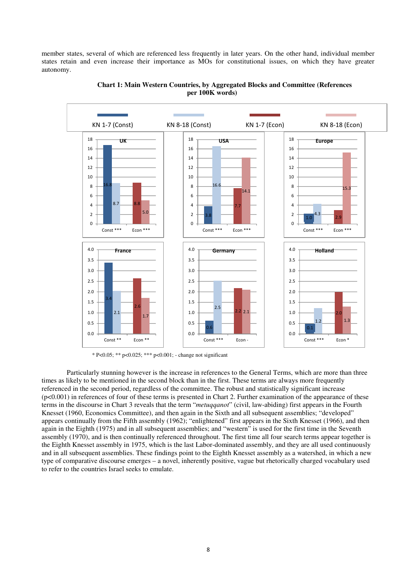member states, several of which are referenced less frequently in later years. On the other hand, individual member states retain and even increase their importance as MOs for constitutional issues, on which they have greater autonomy.



#### **Chart 1: Main Western Countries, by Aggregated Blocks and Committee (References per 100K words)**

\* P<0.05; \*\* p<0.025; \*\*\* p<0.001; - change not significant

Particularly stunning however is the increase in references to the General Terms, which are more than three times as likely to be mentioned in the second block than in the first. These terms are always more frequently referenced in the second period, regardless of the committee. The robust and statistically significant increase (p<0.001) in references of four of these terms is presented in Chart 2. Further examination of the appearance of these terms in the discourse in Chart 3 reveals that the term "*metuqqanot*" (civil, law-abiding) first appears in the Fourth Knesset (1960, Economics Committee), and then again in the Sixth and all subsequent assemblies; "developed" appears continually from the Fifth assembly (1962); "enlightened" first appears in the Sixth Knesset (1966), and then again in the Eighth (1975) and in all subsequent assemblies; and "western" is used for the first time in the Seventh assembly (1970), and is then continually referenced throughout. The first time all four search terms appear together is the Eighth Knesset assembly in 1975, which is the last Labor-dominated assembly, and they are all used continuously and in all subsequent assemblies. These findings point to the Eighth Knesset assembly as a watershed, in which a new type of comparative discourse emerges – a novel, inherently positive, vague but rhetorically charged vocabulary used to refer to the countries Israel seeks to emulate.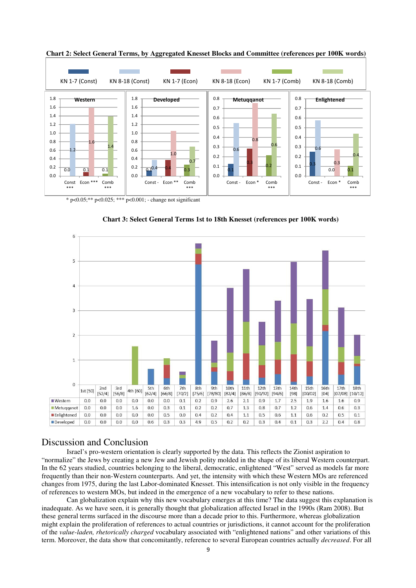

**Chart 2: Select General Terms, by Aggregated Knesset Blocks and Committee (references per 100K words)** 

\* p<0.05;\*\* p<0.025; \*\*\* p<0.001; - change not significant



**Chart 3: Select General Terms 1st to 18th Knesset (references per 100K words)** 

## Discussion and Conclusion

Israel's pro-western orientation is clearly supported by the data. This reflects the Zionist aspiration to "normalize" the Jews by creating a new Jew and Jewish polity molded in the shape of its liberal Western counterpart. In the 62 years studied, countries belonging to the liberal, democratic, enlightened "West" served as models far more frequently than their non-Western counterparts. And yet, the intensity with which these Western MOs are referenced changes from 1975, during the last Labor-dominated Knesset. This intensification is not only visible in the frequency of references to western MOs, but indeed in the emergence of a new vocabulary to refer to these nations.

Can globalization explain why this new vocabulary emerges at this time? The data suggest this explanation is inadequate. As we have seen, it is generally thought that globalization affected Israel in the 1990s (Ram 2008). But these general terms surfaced in the discourse more than a decade prior to this. Furthermore, whereas globalization might explain the proliferation of references to actual countries or jurisdictions, it cannot account for the proliferation of the *value-laden, rhetorically charged* vocabulary associated with "enlightened nations" and other variations of this term. Moreover, the data show that concomitantly, reference to several European countries actually *decreased*. For all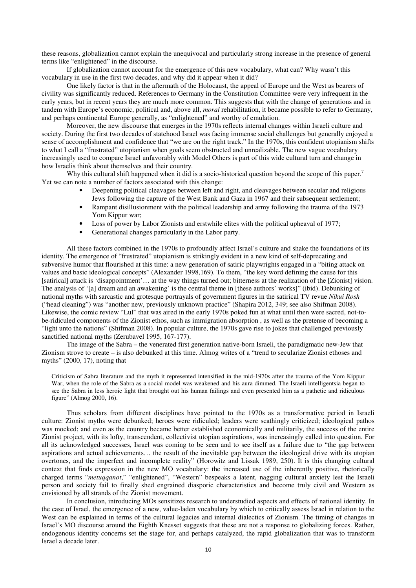these reasons, globalization cannot explain the unequivocal and particularly strong increase in the presence of general terms like "enlightened" in the discourse.

 If globalization cannot account for the emergence of this new vocabulary, what can? Why wasn't this vocabulary in use in the first two decades, and why did it appear when it did?

One likely factor is that in the aftermath of the Holocaust, the appeal of Europe and the West as bearers of civility was significantly reduced. References to Germany in the Constitution Committee were very infrequent in the early years, but in recent years they are much more common. This suggests that with the change of generations and in tandem with Europe's economic, political and, above all, *moral* rehabilitation, it became possible to refer to Germany, and perhaps continental Europe generally, as "enlightened" and worthy of emulation.

Moreover, the new discourse that emerges in the 1970s reflects internal changes within Israeli culture and society. During the first two decades of statehood Israel was facing immense social challenges but generally enjoyed a sense of accomplishment and confidence that "we are on the right track." In the 1970s, this confident utopianism shifts to what I call a "frustrated" utopianism when goals seem obstructed and unrealizable. The new vague vocabulary increasingly used to compare Israel unfavorably with Model Others is part of this wide cultural turn and change in how Israelis think about themselves and their country.

Why this cultural shift happened when it did is a socio-historical question beyond the scope of this paper.<sup>7</sup> Yet we can note a number of factors associated with this change:

- Deepening political cleavages between left and right, and cleavages between secular and religious Jews following the capture of the West Bank and Gaza in 1967 and their subsequent settlement;
- Rampant disillusionment with the political leadership and army following the trauma of the 1973 Yom Kippur war;
- Loss of power by Labor Zionists and erstwhile elites with the political upheaval of 1977;
- Generational changes particularly in the Labor party.

All these factors combined in the 1970s to profoundly affect Israel's culture and shake the foundations of its identity. The emergence of "frustrated" utopianism is strikingly evident in a new kind of self-deprecating and subversive humor that flourished at this time: a new generation of satiric playwrights engaged in a "biting attack on values and basic ideological concepts" (Alexander 1998,169). To them, "the key word defining the cause for this [satirical] attack is 'disappointment'… at the way things turned out; bitterness at the realization of the [Zionist] vision. The analysis of '[a] dream and an awakening' is the central theme in [these authors' works]" (ibid). Debunking of national myths with sarcastic and grotesque portrayals of government figures in the satirical TV revue *Nikui Rosh* ("head cleaning") was "another new, previously unknown practice" (Shapira 2012, 349; see also Shifman 2008). Likewise, the comic review "Lul" that was aired in the early 1970s poked fun at what until then were sacred, not-tobe-ridiculed components of the Zionist ethos, such as immigration absorption , as well as the pretense of becoming a "light unto the nations" (Shifman 2008). In popular culture, the 1970s gave rise to jokes that challenged previously sanctified national myths (Zerubavel 1995, 167-177).

The image of the Sabra – the venerated first generation native-born Israeli, the paradigmatic new-Jew that Zionism strove to create – is also debunked at this time. Almog writes of a "trend to secularize Zionist ethoses and myths" (2000, 17), noting that

Criticism of Sabra literature and the myth it represented intensified in the mid-1970s after the trauma of the Yom Kippur War, when the role of the Sabra as a social model was weakened and his aura dimmed. The Israeli intelligentsia began to see the Sabra in less heroic light that brought out his human failings and even presented him as a pathetic and ridiculous figure" (Almog 2000, 16).

Thus scholars from different disciplines have pointed to the 1970s as a transformative period in Israeli culture: Zionist myths were debunked; heroes were ridiculed; leaders were scathingly criticized; ideological pathos was mocked; and even as the country became better established economically and militarily, the success of the entire Zionist project, with its lofty, transcendent, collectivist utopian aspirations, was increasingly called into question. For all its acknowledged successes, Israel was coming to be seen and to see itself as a failure due to "the gap between aspirations and actual achievements… the result of the inevitable gap between the ideological drive with its utopian overtones, and the imperfect and incomplete reality" (Horowitz and Lissak 1989, 250). It is this changing cultural context that finds expression in the new MO vocabulary: the increased use of the inherently positive, rhetorically charged terms "*metuqqanot*," "enlightened", "Western" bespeaks a latent, nagging cultural anxiety lest the Israeli person and society fail to finally shed engrained diasporic characteristics and become truly civil and Western as envisioned by all strands of the Zionist movement.

In conclusion, introducing MOs sensitizes research to understudied aspects and effects of national identity. In the case of Israel, the emergence of a new, value-laden vocabulary by which to critically assess Israel in relation to the West can be explained in terms of the cultural legacies and internal dialectics of Zionism. The timing of changes in Israel's MO discourse around the Eighth Knesset suggests that these are not a response to globalizing forces. Rather, endogenous identity concerns set the stage for, and perhaps catalyzed, the rapid globalization that was to transform Israel a decade later.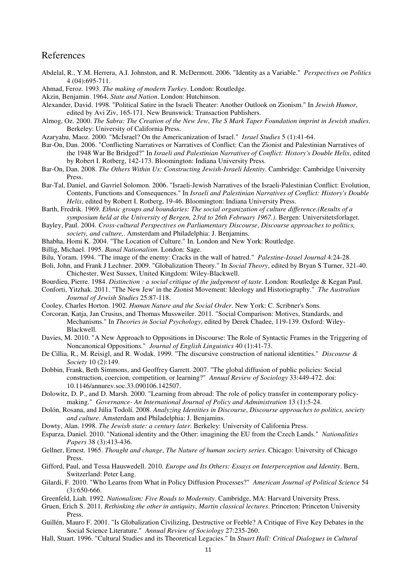# References

- Abdelal, R., Y.M. Herrera, A.I. Johnston, and R. McDermott. 2006. "Identity as a Variable." *Perspectives on Politics* 4 (04):695-711.
- Ahmad, Feroz. 1993. *The making of modern Turkey*. London: Routledge.
- Akzin, Benjamin. 1964. *State and Nation*. London: Hutchinson.
- Alexander, David. 1998. "Political Satire in the Israeli Theater: Another Outlook on Zionism." In *Jewish Humor*, edited by Avi Ziv, 165-171. New Brunswick: Transaction Publishers.
- Almog, Oz. 2000. *The Sabra: The Creation of the New Jew*, *The S Mark Taper Foundation imprint in Jewish studies*. Berkeley: University of California Press.
- Azaryahu, Maoz. 2000. "McIsrael? On the Americanization of Israel." *Israel Studies* 5 (1):41-64.
- Bar-On, Dan. 2006. "Conflicting Narratives or Narratives of Conflict: Can the Zionist and Palestinian Narratives of the 1948 War Be Bridged?" In *Israeli and Palestinian Narratives of Conflict: History's Double Helix*, edited by Robert I. Rotberg, 142-173. Bloomington: Indiana University Press.
- Bar-On, Dan. 2008. *The Others Within Us: Constructing Jewish-Israeli Identity*. Cambridge: Cambridge University Press.
- Bar-Tal, Daniel, and Gavriel Solomon. 2006. "Israeli-Jewish Narratives of the Israeli-Palestinian Conflict: Evolution, Contents, Functions and Consequences." In *Israeli and Palestinian Narratives of Conflict: History's Double Helix*, edited by Robert I. Rotberg, 19-46. Bloomington: Indiana University Press.
- Barth, Fredrik. 1969. *Ethnic groups and boundaries: The social organization of culture difference.(Results of a symposium held at the University of Bergen, 23rd to 26th February 1967.)*. Bergen: Universitetsforlaget.
- Bayley, Paul. 2004. *Cross-cultural Perspectives on Parliamentary Discourse*, *Discourse approaches to politics, society, and culture,*. Amsterdam and Philadelphia: J. Benjamins.
- Bhabha, Homi K. 2004. "The Location of Culture." In. London and New York: Routledge.
- Billig, Michael. 1995. *Banal Nationalism*. London: Sage.
- Bilu, Yoram. 1994. "The image of the enemy: Cracks in the wall of hatred." *Palestine-Israel Journal* 4:24-28.
- Boli, John, and Frank J Lechner. 2009. "Globalization Theory." In *Social Theory*, edited by Bryan S Turner, 321-40. Chichester, West Sussex, United Kingdom: Wiley-Blackwell.
- Bourdieu, Pierre. 1984. *Distinction : a social critique of the judgement of taste*. London: Routledge & Kegan Paul.
- Conforti, Yitzhak. 2011. "The New Jew' in the Zionist Movement: Ideology and Historiography." *The Australian Journal of Jewish Studies* 25:87-118.
- Cooley, Charles Horton. 1902. *Human Nature and the Social Order*. New York: C. Scribner's Sons.
- Corcoran, Katja, Jan Crusius, and Thomas Mussweiler. 2011. "Social Comparison: Motives, Standards, and Mechanisms." In *Theories in Social Psychology*, edited by Derek Chadee, 119-139. Oxford: Wiley-Blackwell.
- Davies, M. 2010. "A New Approach to Oppositions in Discourse: The Role of Syntactic Frames in the Triggering of Noncanonical Oppositions." *Journal of English Linguistics* 40 (1):41-73.
- De Cillia, R., M. Reisigl, and R. Wodak. 1999. "The discursive construction of national identities." *Discourse & Society* 10 (2):149.
- Dobbin, Frank, Beth Simmons, and Geoffrey Garrett. 2007. "The global diffusion of public policies: Social construction, coercion, competition, or learning?" *Annual Review of Sociology* 33:449-472. doi: 10.1146/annurev.soc.33.090106.142507.
- Dolowitz, D. P., and D. Marsh. 2000. "Learning from abroad: The role of policy transfer in contemporary policymaking." *Governance- An International Journal of Policy and Administration* 13 (1):5-24.
- Dolón, Rosana, and Júlia Todolí. 2008. *Analyzing Identities in Discourse*, *Discourse approaches to politics, society and culture*. Amsterdam and Philadelphia: J. Benjamins.
- Dowty, Alan. 1998. *The Jewish state: a century later*. Berkeley: University of California Press.
- Esparza, Daniel. 2010. "National identity and the Other: imagining the EU from the Czech Lands." *Nationalities Papers* 38 (3):413-436.
- Gellner, Ernest. 1965. *Thought and change*, *The Nature of human society series*. Chicago: University of Chicago **Press**.
- Gifford, Paul, and Tessa Hauswedell. 2010. *Europe and Its Others: Essays on Interperception and Identity*. Bern, Switzerland: Peter Lang.
- Gilardi, F. 2010. "Who Learns from What in Policy Diffusion Processes?" *American Journal of Political Science* 54 (3):650-666.
- Greenfeld, Liah. 1992. *Nationalism: Five Roads to Modernity*. Cambridge, MA: Harvard University Press.
- Gruen, Erich S. 2011. *Rethinking the other in antiquity*, *Martin classical lectures*. Princeton: Princeton University Press.
- Guillén, Mauro F. 2001. "Is Globalization Civilizing, Destructive or Feeble? A Critique of Five Key Debates in the Social Science Literature." *Annual Review of Sociology* 27:235-260.
- Hall, Stuart. 1996. "Cultural Studies and its Theoretical Legacies." In *Stuart Hall: Critical Dialogues in Cultural*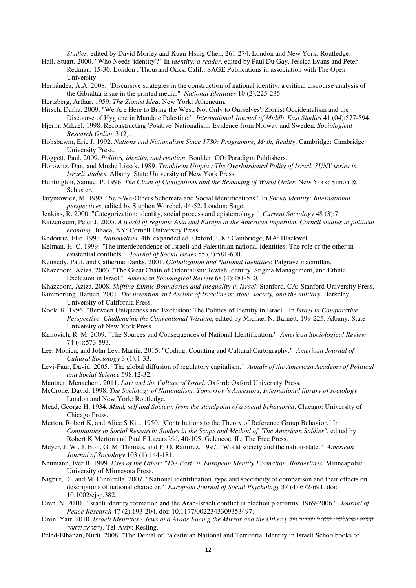*Studies*, edited by David Morley and Kuan-Hsing Chen, 261-274. London and New York: Routledge.

- Hall, Stuart. 2000. "Who Needs 'identity'?" In *Identity: a reader*, edited by Paul Du Gay, Jessica Evans and Peter Redman, 15-30. London ; Thousand Oaks, Calif.: SAGE Publications in association with The Open University.
- Hernández, Á.A. 2008. "Discursive strategies in the construction of national identity: a critical discourse analysis of the Gibraltar issue in the printed media." *National Identities* 10 (2):225-235.
- Hertzberg, Arthur. 1959. *The Zionist Idea*. New York: Atheneum.
- Hirsch, Dafna. 2009. "We Are Here to Bring the West, Not Only to Ourselves': Zionist Occidentalism and the Discourse of Hygiene in Mandate Palestine." *International Journal of Middle East Studies* 41 (04):577-594.
- Hjerm, Mikael. 1998. Reconstructing 'Positive' Nationalism: Evidence from Norway and Sweden. *Sociological Research Online* 3 (2).
- Hobsbawm, Eric J. 1992. *Nations and Nationalism Since 1780: Programme, Myth, Reality*. Cambridge: Cambridge University Press.
- Hoggett, Paul. 2009. *Politics, identity, and emotion*. Boulder, CO: Paradigm Publishers.
- Horowitz, Dan, and Moshe Lissak. 1989. *Trouble in Utopia : The Overburdened Polity of Israel*, *SUNY series in Israeli studies*. Albany: State University of New York Press.
- Huntington, Samuel P. 1996. *The Clash of Civilizations and the Remaking of World Order*. New York: Simon & Schuster.
- Jarymowicz, M. 1998. "Self-We-Others Schemata and Social Identifications." In *Social identity: International perspectives*, edited by Stephen Worchel, 44-52. London: Sage.
- Jenkins, R. 2000. "Categorization: identity, social process and epistemology." *Current Sociology* 48 (3):7.
- Katzenstein, Peter J. 2005. *A world of regions: Asia and Europe in the American imperium*, *Cornell studies in political economy*. Ithaca, NY: Cornell University Press.
- Kedourie, Elie. 1993. *Nationalism*. 4th, expanded ed. Oxford, UK ; Cambridge, MA: Blackwell.
- Kelman, H. C. 1999. "The interdependence of Israeli and Palestinian national identities: The role of the other in existential conflicts." *Journal of Social Issues* 55 (3):581-600.
- Kennedy, Paul, and Catherine Danks. 2001. *Globalization and National Identities*: Palgrave macmillan.
- Khazzoom, Aziza. 2003. "The Great Chain of Orientalism: Jewish Identity, Stigma Management, and Ethnic Exclusion in Israel." *American Sociological Review* 68 (4):481-510.
- Khazzoom, Aziza. 2008. *Shifting Ethnic Boundaries and Inequality in Israel*: Stanford, CA: Stanford University Press.
- Kimmerling, Baruch. 2001. *The invention and decline of Israeliness: state, society, and the military*. Berkeley: University of California Press.
- Kook, R. 1996. "Between Uniqueness and Exclusion: The Politics of Identity in Israel." In *Israel in Comparative Perspective: Challenging the Conventional Wisdom*, edited by Michael N. Barnett, 199-225. Albany: State University of New York Press.
- Kunovich, R. M. 2009. "The Sources and Consequences of National Identification." *American Sociological Review* 74 (4):573-593.
- Lee, Monica, and John Levi Martin. 2015. "Coding, Counting and Cultural Cartography." *American Journal of Cultural Sociology* 3 (1):1-33.
- Levi-Faur, David. 2005. "The global diffusion of regulatory capitalism." *Annals of the American Academy of Political and Social Science* 598:12-32.
- Mautner, Menachem. 2011. *Law and the Culture of Israel*. Oxford: Oxford University Press.
- McCrone, David. 1998. *The Sociology of Nationalism: Tomorrow's Ancestors*, *International library of sociology*. London and New York: Routledge.
- Mead, George H. 1934. *Mind, self and Society: from the standpoint of a social behaviorist*. Chicago: University of Chicago Press.
- Merton, Robert K, and Alice S Kitt. 1950. "Contributions to the Theory of Reference Group Behavior." In *Continuities in Social Research: Studies in the Scope and Method of "The American Soldier"*, edited by Robert K Merton and Paul F Lazersfeld, 40-105. Gelencoe, IL: The Free Press.
- Meyer, J. W., J. Boli, G. M. Thomas, and F. O. Ramirez. 1997. "World society and the nation-state." *American Journal of Sociology* 103 (1):144-181.
- Neumann, Iver B. 1999. *Uses of the Other: "The East" in European Identity Formation*, *Borderlines*. Minneapolis: University of Minnesota Press.
- Nigbur, D., and M. Cinnirella. 2007. "National identification, type and specificity of comparison and their effects on descriptions of national character." *European Journal of Social Psychology* 37 (4):672-691. doi: 10.1002/ejsp.382.
- Oren, N. 2010. "Israeli identity formation and the Arab-Israeli conflict in election platforms, 1969-2006." *Journal of Peace Research* 47 (2):193-204. doi: 10.1177/0022343309353497.
- Oron, Yair. 2010. *Israeli Identities Jews and Arabs Facing the Mirror and the Other [ מול וערבים יהודים :ישראליות זהויות והאחר המראה[*. Tel-Aviv: Resling.
- Peled-Elhanan, Nurit. 2008. "The Denial of Palestinian National and Territorial Identity in Israeli Schoolbooks of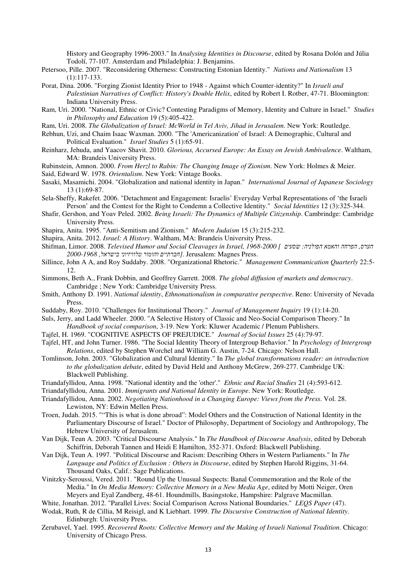History and Geography 1996-2003." In *Analysing Identities in Discourse*, edited by Rosana Dolón and Júlia Todolí, 77-107. Amsterdam and Philadelphia: J. Benjamins.

- Petersoo, Pille. 2007. "Reconsidering Otherness: Constructing Estonian Identity." *Nations and Nationalism* 13 (1):117-133.
- Porat, Dina. 2006. "Forging Zionist Identity Prior to 1948 Against which Counter-identity?" In *Israeli and Palestinian Narratives of Conflict: History's Double Helix*, edited by Robert I. Rotber, 47-71. Bloomington: Indiana University Press.
- Ram, Uri. 2000. "National, Ethnic or Civic? Contesting Paradigms of Memory, Identity and Culture in Israel." *Studies in Philosophy and Education* 19 (5):405-422.
- Ram, Uri. 2008. *The Globalization of Israel: McWorld in Tel Aviv, Jihad in Jerusalem*. New York: Routledge.
- Rebhun, Uzi, and Chaim Isaac Waxman. 2000. "The 'Americanization' of Israel: A Demographic, Cultural and Political Evaluation." *Israel Studies* 5 (1):65-91.
- Reinharz, Jehuda, and Yaacov Shavit. 2010. *Glorious, Accursed Europe: An Essay on Jewish Ambivalence*. Waltham, MA: Brandeis University Press.
- Rubinstein, Amnon. 2000. *From Herzl to Rabin: The Changing Image of Zionism*. New York: Holmes & Meier.
- Said, Edward W. 1978. *Orientalism*. New York: Vintage Books.
- Sasaki, Masamichi. 2004. "Globalization and national identity in Japan." *International Journal of Japanese Sociology* 13 (1):69-87.
- Sela-Sheffy, Rakefet. 2006. "Detachment and Engagement: Israelis' Everyday Verbal Representations of 'the Israeli Person' and the Contest for the Right to Condemn a Collective Identity." *Social Identities* 12 (3):325-344.
- Shafir, Gershon, and Yoav Peled. 2002. *Being Israeli: The Dynamics of Multiple Citizenship*. Cambrindge: Cambridge University Press.
- Shapira, Anita. 1995. "Anti-Semitism and Zionism." *Modern Judaism* 15 (3):215-232.
- Shapira, Anita. 2012. *Israel: A History*. Waltham, MA: Brandeis University Press.
- Shifman, Limor. 2008. *Televised Humor and Social Cleavages in Israel, 1968-2000 [ שסעים :הפולניה והאמא הפרחה ,הערס* .Press Magnes :Jerusalem . *חברתיים והומור טלוויזיוני בישראל, [ 2000-1968*
- Sillince, John A A, and Roy Suddaby. 2008. "Organizational Rhetoric." *Management Communication Quarterly* 22:5- 12.
- Simmons, Beth A., Frank Dobbin, and Geoffrey Garrett. 2008. *The global diffusion of markets and democracy*. Cambridge ; New York: Cambridge University Press.
- Smith, Anthony D. 1991. *National identity*, *Ethnonationalism in comparative perspective*. Reno: University of Nevada Press.
- Suddaby, Roy. 2010. "Challenges for Institutional Theory." *Journal of Management Inquiry* 19 (1):14-20.
- Suls, Jerry, and Ladd Wheeler. 2000. "A Selective History of Classic and Neo-Social Comparison Theory." In *Handbook of social comparison*, 3-19. New York: Kluwer Academic / Plenum Publishers.
- Tajfel, H. 1969. "COGNITIVE ASPECTS OF PREJUDICE." *Journal of Social Issues* 25 (4):79-97.
- Tajfel, HT, and John Turner. 1986. "The Social Identity Theory of Intergroup Behavior." In *Psychology of Intergroup Relations*, edited by Stephen Worchel and William G. Austin, 7-24. Chicago: Nelson Hall.
- Tomlinson, John. 2003. "Globalization and Cultural Identity." In *The global transformations reader: an introduction to the globalization debate*, edited by David Held and Anthony McGrew, 269-277. Cambridge UK: Blackwell Publishing.
- Triandafyllidou, Anna. 1998. "National identity and the 'other'." *Ethnic and Racial Studies* 21 (4):593-612.
- Triandafyllidou, Anna. 2001. *Immigrants and National Identity in Europe*. New York: Routledge.
- Triandafyllidou, Anna. 2002. *Negotiating Nationhood in a Changing Europe: Views from the Press*. Vol. 28. Lewiston, NY: Edwin Mellen Press.
- Troen, Judah. 2015. ""This is what is done abroad": Model Others and the Construction of National Identity in the Parliamentary Discourse of Israel." Doctor of Philosophy, Department of Sociology and Anthropology, The Hebrew University of Jerusalem.
- Van Dijk, Teun A. 2003. "Critical Discourse Analysis." In *The Handbook of Discourse Analysis*, edited by Deborah Schiffrin, Deborah Tannen and Heidi E Hamilton, 352-371. Oxford: Blackwell Publishing.
- Van Dijk, Teun A. 1997. "Political Discourse and Racism: Describing Others in Western Parliaments." In *The Language and Politics of Exclusion : Others in Discourse*, edited by Stephen Harold Riggins, 31-64. Thousand Oaks, Calif.: Sage Publications.
- Vinitzky-Seroussi, Vered. 2011. "Round Up the Unusual Suspects: Banal Commemoration and the Role of the Media." In *On Media Memory: Collective Memory in a New Media Age*, edited by Motti Neiger, Oren Meyers and Eyal Zandberg, 48-61. Houndmills, Basingstoke, Hampshire: Palgrave Macmillan.
- White, Jonathan. 2012. "Parallel Lives: Social Comparison Across National Boundaries." *LEQS Paper* (47).
- Wodak, Ruth, R de Cillia, M Reisigl, and K Liebhart. 1999. *The Discursive Construction of National Identity*. Edinburgh: University Press.
- Zerubavel, Yael. 1995. *Recovered Roots: Collective Memory and the Making of Israeli National Tradition*. Chicago: University of Chicago Press.